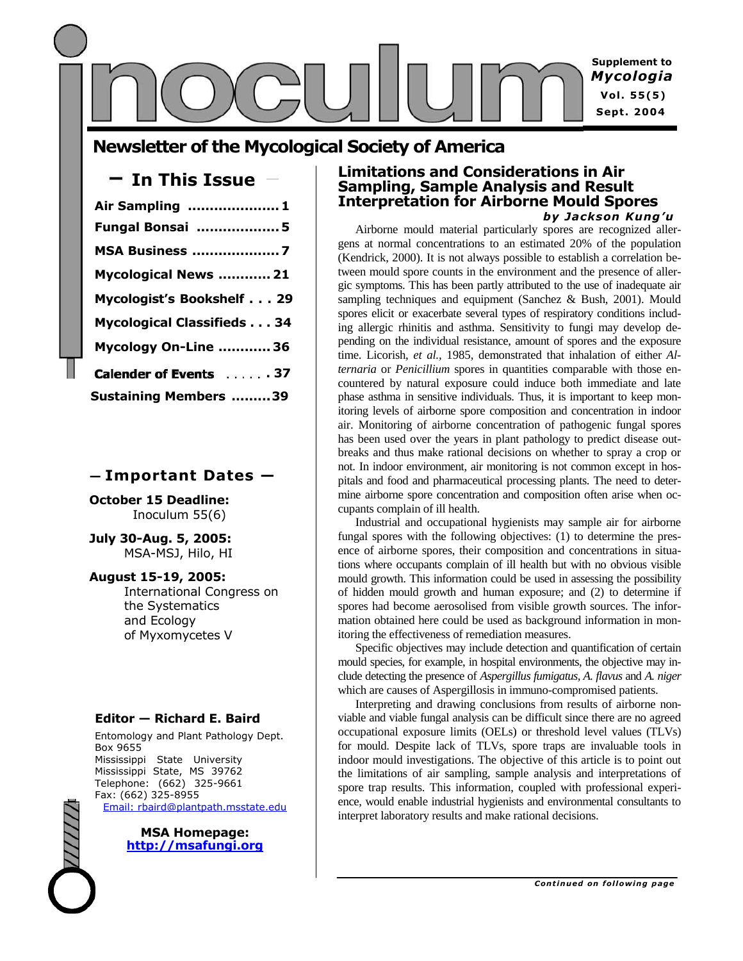

# **Newsletter of the Mycological Society of America**

## **In This Issue —**

| Air Sampling  1                  |
|----------------------------------|
| <b>Fungal Bonsai 5</b>           |
| <b>MSA Business 7</b>            |
| Mycological News  21             |
| Mycologist's Bookshelf 29        |
| <b>Mycological Classifieds34</b> |
| Mycology On-Line  36             |
| Calender of Events 37            |
| <b>Sustaining Members 39</b>     |

## **— Important Dates —**

**October 15 Deadline:** Inoculum 55(6)

**July 30-Aug. 5, 2005:** MSA-MSJ, Hilo, HI

**August 15-19, 2005:** International Congress on the Systematics and Ecology of Myxomycetes V

## **Editor — Richard E. Baird**

Entomology and Plant Pathology Dept. Box 9655 Mississippi State University Mississippi State, MS 39762 Telephone: (662) 325-9661 Fax: (662) 325-8955 Email: rbaird@plantpath.msstate.edu

> **MSA Homepage: http://msafungi.org**

### **Limitations and Considerations in Air Sampling, Sample Analysis and Result Interpretation for Airborne Mould Spores** *by Jackson Kung'u*

Airborne mould material particularly spores are recognized allergens at normal concentrations to an estimated 20% of the population (Kendrick, 2000). It is not always possible to establish a correlation between mould spore counts in the environment and the presence of allergic symptoms. This has been partly attributed to the use of inadequate air sampling techniques and equipment (Sanchez & Bush, 2001). Mould spores elicit or exacerbate several types of respiratory conditions including allergic rhinitis and asthma. Sensitivity to fungi may develop depending on the individual resistance, amount of spores and the exposure time. Licorish, *et al.,* 1985, demonstrated that inhalation of either *Alternaria* or *Penicillium* spores in quantities comparable with those encountered by natural exposure could induce both immediate and late phase asthma in sensitive individuals. Thus, it is important to keep monitoring levels of airborne spore composition and concentration in indoor air. Monitoring of airborne concentration of pathogenic fungal spores has been used over the years in plant pathology to predict disease outbreaks and thus make rational decisions on whether to spray a crop or not. In indoor environment, air monitoring is not common except in hospitals and food and pharmaceutical processing plants. The need to determine airborne spore concentration and composition often arise when occupants complain of ill health.

Industrial and occupational hygienists may sample air for airborne fungal spores with the following objectives: (1) to determine the presence of airborne spores, their composition and concentrations in situations where occupants complain of ill health but with no obvious visible mould growth. This information could be used in assessing the possibility of hidden mould growth and human exposure; and (2) to determine if spores had become aerosolised from visible growth sources. The information obtained here could be used as background information in monitoring the effectiveness of remediation measures.

Specific objectives may include detection and quantification of certain mould species, for example, in hospital environments, the objective may include detecting the presence of *Aspergillus fumigatus, A. flavus* and *A. niger* which are causes of Aspergillosis in immuno-compromised patients.

Interpreting and drawing conclusions from results of airborne nonviable and viable fungal analysis can be difficult since there are no agreed occupational exposure limits (OELs) or threshold level values (TLVs) for mould. Despite lack of TLVs, spore traps are invaluable tools in indoor mould investigations. The objective of this article is to point out the limitations of air sampling, sample analysis and interpretations of spore trap results. This information, coupled with professional experience, would enable industrial hygienists and environmental consultants to interpret laboratory results and make rational decisions.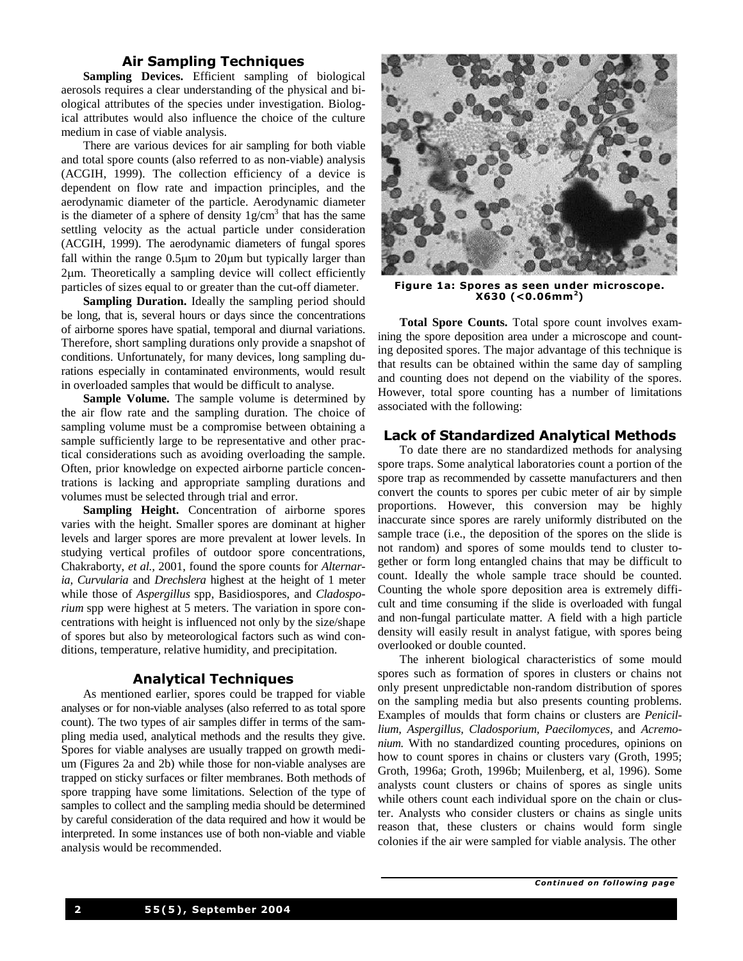#### **Air Sampling Techniques**

**Sampling Devices.** Efficient sampling of biological aerosols requires a clear understanding of the physical and biological attributes of the species under investigation. Biological attributes would also influence the choice of the culture medium in case of viable analysis.

There are various devices for air sampling for both viable and total spore counts (also referred to as non-viable) analysis (ACGIH, 1999). The collection efficiency of a device is dependent on flow rate and impaction principles, and the aerodynamic diameter of the particle. Aerodynamic diameter is the diameter of a sphere of density  $1g/cm<sup>3</sup>$  that has the same settling velocity as the actual particle under consideration (ACGIH, 1999). The aerodynamic diameters of fungal spores fall within the range  $0.5\mu m$  to  $20\mu m$  but typically larger than 2µm. Theoretically a sampling device will collect efficiently particles of sizes equal to or greater than the cut-off diameter.

**Sampling Duration.** Ideally the sampling period should be long, that is, several hours or days since the concentrations of airborne spores have spatial, temporal and diurnal variations. Therefore, short sampling durations only provide a snapshot of conditions. Unfortunately, for many devices, long sampling durations especially in contaminated environments, would result in overloaded samples that would be difficult to analyse.

**Sample Volume.** The sample volume is determined by the air flow rate and the sampling duration. The choice of sampling volume must be a compromise between obtaining a sample sufficiently large to be representative and other practical considerations such as avoiding overloading the sample. Often, prior knowledge on expected airborne particle concentrations is lacking and appropriate sampling durations and volumes must be selected through trial and error.

**Sampling Height.** Concentration of airborne spores varies with the height. Smaller spores are dominant at higher levels and larger spores are more prevalent at lower levels. In studying vertical profiles of outdoor spore concentrations, Chakraborty, *et al.,* 2001, found the spore counts for *Alternaria, Curvularia* and *Drechslera* highest at the height of 1 meter while those of *Aspergillus* spp, Basidiospores, and *Cladosporium* spp were highest at 5 meters. The variation in spore concentrations with height is influenced not only by the size/shape of spores but also by meteorological factors such as wind conditions, temperature, relative humidity, and precipitation.

#### **Analytical Techniques**

As mentioned earlier, spores could be trapped for viable analyses or for non-viable analyses (also referred to as total spore count). The two types of air samples differ in terms of the sampling media used, analytical methods and the results they give. Spores for viable analyses are usually trapped on growth medium (Figures 2a and 2b) while those for non-viable analyses are trapped on sticky surfaces or filter membranes. Both methods of spore trapping have some limitations. Selection of the type of samples to collect and the sampling media should be determined by careful consideration of the data required and how it would be interpreted. In some instances use of both non-viable and viable analysis would be recommended.



**Figure 1a: Spores as seen under microscope. X630 (<0.06mm<sup>2</sup> )**

**Total Spore Counts.** Total spore count involves examining the spore deposition area under a microscope and counting deposited spores. The major advantage of this technique is that results can be obtained within the same day of sampling and counting does not depend on the viability of the spores. However, total spore counting has a number of limitations associated with the following:

#### **Lack of Standardized Analytical Methods**

To date there are no standardized methods for analysing spore traps. Some analytical laboratories count a portion of the spore trap as recommended by cassette manufacturers and then convert the counts to spores per cubic meter of air by simple proportions. However, this conversion may be highly inaccurate since spores are rarely uniformly distributed on the sample trace (i.e., the deposition of the spores on the slide is not random) and spores of some moulds tend to cluster together or form long entangled chains that may be difficult to count. Ideally the whole sample trace should be counted. Counting the whole spore deposition area is extremely difficult and time consuming if the slide is overloaded with fungal and non-fungal particulate matter. A field with a high particle density will easily result in analyst fatigue, with spores being overlooked or double counted.

The inherent biological characteristics of some mould spores such as formation of spores in clusters or chains not only present unpredictable non-random distribution of spores on the sampling media but also presents counting problems. Examples of moulds that form chains or clusters are *Penicillium, Aspergillus, Cladosporium, Paecilomyces,* and *Acremonium.* With no standardized counting procedures, opinions on how to count spores in chains or clusters vary (Groth, 1995; Groth, 1996a; Groth, 1996b; Muilenberg, et al, 1996). Some analysts count clusters or chains of spores as single units while others count each individual spore on the chain or cluster. Analysts who consider clusters or chains as single units reason that, these clusters or chains would form single colonies if the air were sampled for viable analysis. The other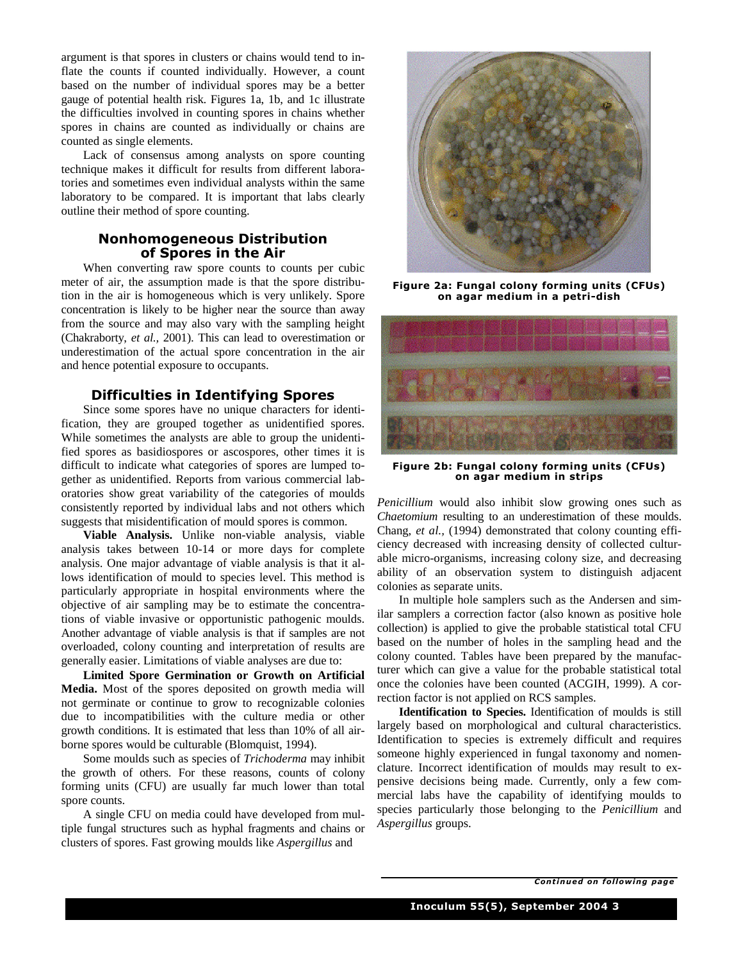argument is that spores in clusters or chains would tend to inflate the counts if counted individually. However, a count based on the number of individual spores may be a better gauge of potential health risk. Figures 1a, 1b, and 1c illustrate the difficulties involved in counting spores in chains whether spores in chains are counted as individually or chains are counted as single elements.

Lack of consensus among analysts on spore counting technique makes it difficult for results from different laboratories and sometimes even individual analysts within the same laboratory to be compared. It is important that labs clearly outline their method of spore counting.

## **Nonhomogeneous Distribution of Spores in the Air**

When converting raw spore counts to counts per cubic meter of air, the assumption made is that the spore distribution in the air is homogeneous which is very unlikely. Spore concentration is likely to be higher near the source than away from the source and may also vary with the sampling height (Chakraborty, *et al.,* 2001). This can lead to overestimation or underestimation of the actual spore concentration in the air and hence potential exposure to occupants.

## **Difficulties in Identifying Spores**

Since some spores have no unique characters for identification, they are grouped together as unidentified spores. While sometimes the analysts are able to group the unidentified spores as basidiospores or ascospores, other times it is difficult to indicate what categories of spores are lumped together as unidentified. Reports from various commercial laboratories show great variability of the categories of moulds consistently reported by individual labs and not others which suggests that misidentification of mould spores is common.

**Viable Analysis.** Unlike non-viable analysis, viable analysis takes between 10-14 or more days for complete analysis. One major advantage of viable analysis is that it allows identification of mould to species level. This method is particularly appropriate in hospital environments where the objective of air sampling may be to estimate the concentrations of viable invasive or opportunistic pathogenic moulds. Another advantage of viable analysis is that if samples are not overloaded, colony counting and interpretation of results are generally easier. Limitations of viable analyses are due to:

**Limited Spore Germination or Growth on Artificial Media.** Most of the spores deposited on growth media will not germinate or continue to grow to recognizable colonies due to incompatibilities with the culture media or other growth conditions. It is estimated that less than 10% of all airborne spores would be culturable (Blomquist, 1994).

Some moulds such as species of *Trichoderma* may inhibit the growth of others. For these reasons, counts of colony forming units (CFU) are usually far much lower than total spore counts.

A single CFU on media could have developed from multiple fungal structures such as hyphal fragments and chains or clusters of spores. Fast growing moulds like *Aspergillus* and



**Figure 2a: Fungal colony forming units (CFUs) on agar medium in a petri-dish**



**Figure 2b: Fungal colony forming units (CFUs) on agar medium in strips**

*Penicillium* would also inhibit slow growing ones such as *Chaetomium* resulting to an underestimation of these moulds. Chang, *et al.,* (1994) demonstrated that colony counting efficiency decreased with increasing density of collected culturable micro-organisms, increasing colony size, and decreasing ability of an observation system to distinguish adjacent colonies as separate units.

In multiple hole samplers such as the Andersen and similar samplers a correction factor (also known as positive hole collection) is applied to give the probable statistical total CFU based on the number of holes in the sampling head and the colony counted. Tables have been prepared by the manufacturer which can give a value for the probable statistical total once the colonies have been counted (ACGIH, 1999). A correction factor is not applied on RCS samples.

**Identification to Species.** Identification of moulds is still largely based on morphological and cultural characteristics. Identification to species is extremely difficult and requires someone highly experienced in fungal taxonomy and nomenclature. Incorrect identification of moulds may result to expensive decisions being made. Currently, only a few commercial labs have the capability of identifying moulds to species particularly those belonging to the *Penicillium* and *Aspergillus* groups.